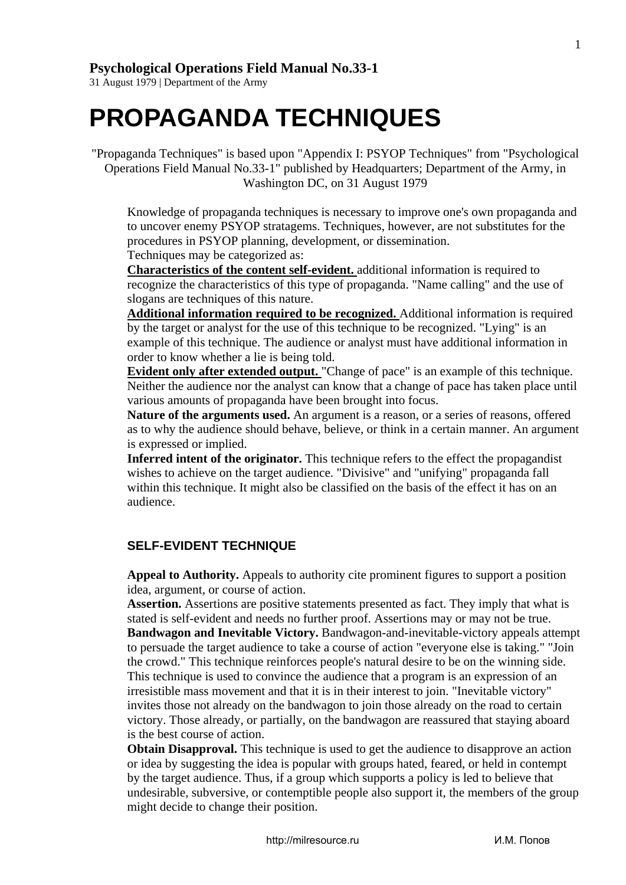1

## **[Psychological Operations Field Manual No.33-1](http://www.freerepublic.com/focus/fr/546409/posts)**

31 August 1979 | Department of the Army

# **PROPAGANDA TECHNIQUES**

"Propaganda Techniques" is based upon "Appendix I: PSYOP Techniques" from "Psychological Operations Field Manual No.33-1" published by Headquarters; Department of the Army, in Washington DC, on 31 August 1979

Knowledge of propaganda techniques is necessary to improve one's own propaganda and to uncover enemy PSYOP stratagems. Techniques, however, are not substitutes for the procedures in PSYOP planning, development, or dissemination. Techniques may be categorized as:

**[Characteristics of the content self-evident.](http://www.freerepublic.com/focus/fr/546409/posts#self_evident_technique#self_evident_technique)** additional information is required to recognize the characteristics of this type of propaganda. "Name calling" and the use of slogans are techniques of this nature.

**[Additional information required to be recognized.](http://www.freerepublic.com/focus/fr/546409/posts#additional_info_needed#additional_info_needed)** Additional information is required by the target or analyst for the use of this technique to be recognized. "Lying" is an example of this technique. The audience or analyst must have additional information in order to know whether a lie is being told.

**[Evident only after extended output.](http://www.freerepublic.com/focus/fr/546409/posts#evident_over_time#evident_over_time)** "Change of pace" is an example of this technique. Neither the audience nor the analyst can know that a change of pace has taken place until various amounts of propaganda have been brought into focus.

**Nature of the arguments used.** An argument is a reason, or a series of reasons, offered as to why the audience should behave, believe, or think in a certain manner. An argument is expressed or implied.

**Inferred intent of the originator.** This technique refers to the effect the propagandist wishes to achieve on the target audience. "Divisive" and "unifying" propaganda fall within this technique. It might also be classified on the basis of the effect it has on an audience.

### **SELF-EVIDENT TECHNIQUE**

**Appeal to Authority.** Appeals to authority cite prominent figures to support a position idea, argument, or course of action.

**Assertion.** Assertions are positive statements presented as fact. They imply that what is stated is self-evident and needs no further proof. Assertions may or may not be true. **Bandwagon and Inevitable Victory.** Bandwagon-and-inevitable-victory appeals attempt to persuade the target audience to take a course of action "everyone else is taking." "Join the crowd." This technique reinforces people's natural desire to be on the winning side. This technique is used to convince the audience that a program is an expression of an irresistible mass movement and that it is in their interest to join. "Inevitable victory" invites those not already on the bandwagon to join those already on the road to certain victory. Those already, or partially, on the bandwagon are reassured that staying aboard is the best course of action.

**Obtain Disapproval.** This technique is used to get the audience to disapprove an action or idea by suggesting the idea is popular with groups hated, feared, or held in contempt by the target audience. Thus, if a group which supports a policy is led to believe that undesirable, subversive, or contemptible people also support it, the members of the group might decide to change their position.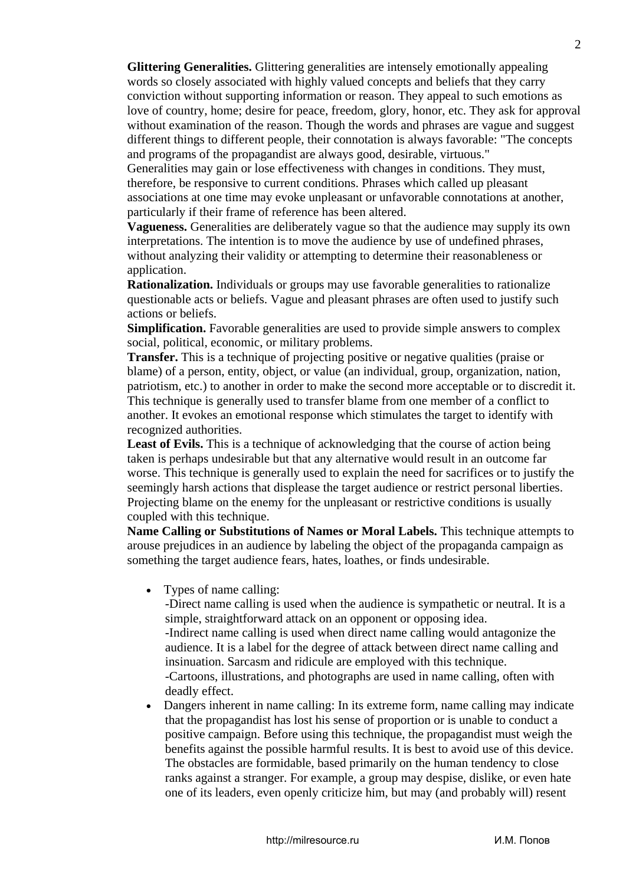**Glittering Generalities.** Glittering generalities are intensely emotionally appealing words so closely associated with highly valued concepts and beliefs that they carry conviction without supporting information or reason. They appeal to such emotions as love of country, home; desire for peace, freedom, glory, honor, etc. They ask for approval without examination of the reason. Though the words and phrases are vague and suggest different things to different people, their connotation is always favorable: "The concepts and programs of the propagandist are always good, desirable, virtuous."

Generalities may gain or lose effectiveness with changes in conditions. They must, therefore, be responsive to current conditions. Phrases which called up pleasant associations at one time may evoke unpleasant or unfavorable connotations at another, particularly if their frame of reference has been altered.

**Vagueness.** Generalities are deliberately vague so that the audience may supply its own interpretations. The intention is to move the audience by use of undefined phrases, without analyzing their validity or attempting to determine their reasonableness or application.

**Rationalization.** Individuals or groups may use favorable generalities to rationalize questionable acts or beliefs. Vague and pleasant phrases are often used to justify such actions or beliefs.

**Simplification.** Favorable generalities are used to provide simple answers to complex social, political, economic, or military problems.

**Transfer.** This is a technique of projecting positive or negative qualities (praise or blame) of a person, entity, object, or value (an individual, group, organization, nation, patriotism, etc.) to another in order to make the second more acceptable or to discredit it. This technique is generally used to transfer blame from one member of a conflict to another. It evokes an emotional response which stimulates the target to identify with recognized authorities.

Least of Evils. This is a technique of acknowledging that the course of action being taken is perhaps undesirable but that any alternative would result in an outcome far worse. This technique is generally used to explain the need for sacrifices or to justify the seemingly harsh actions that displease the target audience or restrict personal liberties. Projecting blame on the enemy for the unpleasant or restrictive conditions is usually coupled with this technique.

**Name Calling or Substitutions of Names or Moral Labels.** This technique attempts to arouse prejudices in an audience by labeling the object of the propaganda campaign as something the target audience fears, hates, loathes, or finds undesirable.

• Types of name calling:

-Direct name calling is used when the audience is sympathetic or neutral. It is a simple, straightforward attack on an opponent or opposing idea. -Indirect name calling is used when direct name calling would antagonize the audience. It is a label for the degree of attack between direct name calling and insinuation. Sarcasm and ridicule are employed with this technique. -Cartoons, illustrations, and photographs are used in name calling, often with deadly effect.

• Dangers inherent in name calling: In its extreme form, name calling may indicate that the propagandist has lost his sense of proportion or is unable to conduct a positive campaign. Before using this technique, the propagandist must weigh the benefits against the possible harmful results. It is best to avoid use of this device. The obstacles are formidable, based primarily on the human tendency to close ranks against a stranger. For example, a group may despise, dislike, or even hate one of its leaders, even openly criticize him, but may (and probably will) resent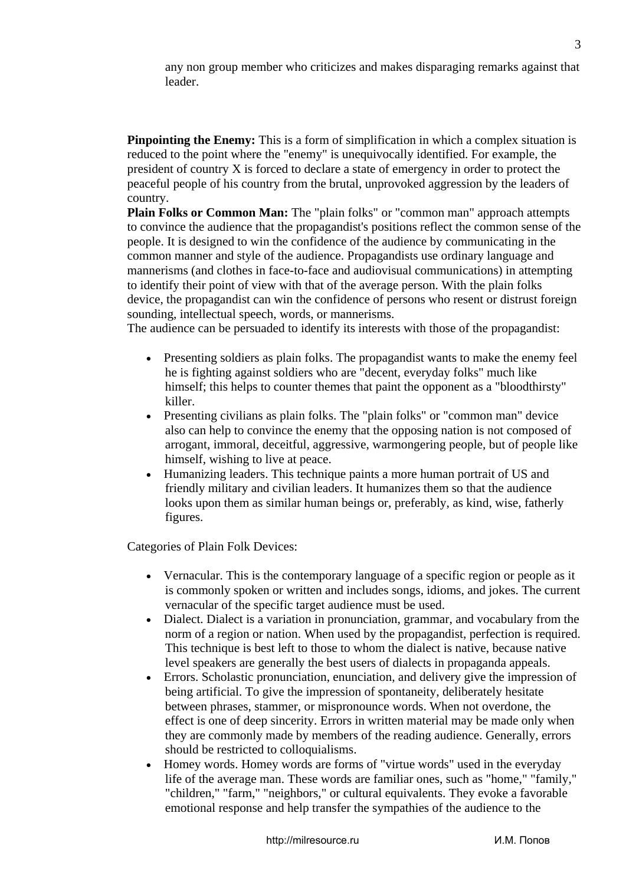any non group member who criticizes and makes disparaging remarks against that leader.

**Pinpointing the Enemy:** This is a form of simplification in which a complex situation is reduced to the point where the "enemy" is unequivocally identified. For example, the president of country X is forced to declare a state of emergency in order to protect the peaceful people of his country from the brutal, unprovoked aggression by the leaders of country.

**Plain Folks or Common Man:** The "plain folks" or "common man" approach attempts to convince the audience that the propagandist's positions reflect the common sense of the people. It is designed to win the confidence of the audience by communicating in the common manner and style of the audience. Propagandists use ordinary language and mannerisms (and clothes in face-to-face and audiovisual communications) in attempting to identify their point of view with that of the average person. With the plain folks device, the propagandist can win the confidence of persons who resent or distrust foreign sounding, intellectual speech, words, or mannerisms.

The audience can be persuaded to identify its interests with those of the propagandist:

- Presenting soldiers as plain folks. The propagandist wants to make the enemy feel he is fighting against soldiers who are "decent, everyday folks" much like himself; this helps to counter themes that paint the opponent as a "bloodthirsty" killer.
- Presenting civilians as plain folks. The "plain folks" or "common man" device also can help to convince the enemy that the opposing nation is not composed of arrogant, immoral, deceitful, aggressive, warmongering people, but of people like himself, wishing to live at peace.
- Humanizing leaders. This technique paints a more human portrait of US and friendly military and civilian leaders. It humanizes them so that the audience looks upon them as similar human beings or, preferably, as kind, wise, fatherly figures.

Categories of Plain Folk Devices:

- Vernacular. This is the contemporary language of a specific region or people as it is commonly spoken or written and includes songs, idioms, and jokes. The current vernacular of the specific target audience must be used.
- Dialect. Dialect is a variation in pronunciation, grammar, and vocabulary from the norm of a region or nation. When used by the propagandist, perfection is required. This technique is best left to those to whom the dialect is native, because native level speakers are generally the best users of dialects in propaganda appeals.
- Errors. Scholastic pronunciation, enunciation, and delivery give the impression of being artificial. To give the impression of spontaneity, deliberately hesitate between phrases, stammer, or mispronounce words. When not overdone, the effect is one of deep sincerity. Errors in written material may be made only when they are commonly made by members of the reading audience. Generally, errors should be restricted to colloquialisms.
- Homey words. Homey words are forms of "virtue words" used in the everyday life of the average man. These words are familiar ones, such as "home," "family," "children," "farm," "neighbors," or cultural equivalents. They evoke a favorable emotional response and help transfer the sympathies of the audience to the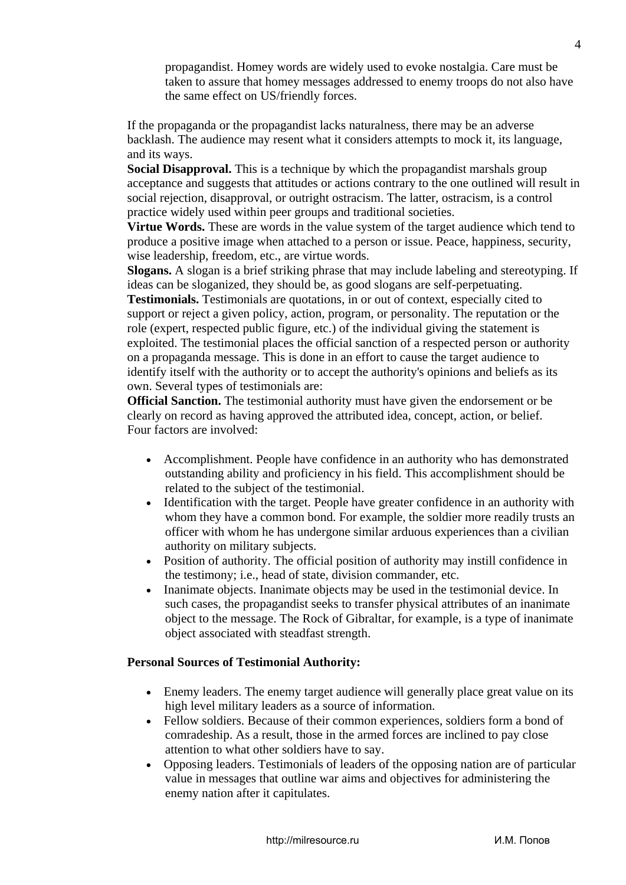propagandist. Homey words are widely used to evoke nostalgia. Care must be taken to assure that homey messages addressed to enemy troops do not also have the same effect on US/friendly forces.

If the propaganda or the propagandist lacks naturalness, there may be an adverse backlash. The audience may resent what it considers attempts to mock it, its language, and its ways.

**Social Disapproval.** This is a technique by which the propagandist marshals group acceptance and suggests that attitudes or actions contrary to the one outlined will result in social rejection, disapproval, or outright ostracism. The latter, ostracism, is a control practice widely used within peer groups and traditional societies.

**Virtue Words.** These are words in the value system of the target audience which tend to produce a positive image when attached to a person or issue. Peace, happiness, security, wise leadership, freedom, etc., are virtue words.

**Slogans.** A slogan is a brief striking phrase that may include labeling and stereotyping. If ideas can be sloganized, they should be, as good slogans are self-perpetuating. **Testimonials.** Testimonials are quotations, in or out of context, especially cited to support or reject a given policy, action, program, or personality. The reputation or the role (expert, respected public figure, etc.) of the individual giving the statement is exploited. The testimonial places the official sanction of a respected person or authority on a propaganda message. This is done in an effort to cause the target audience to identify itself with the authority or to accept the authority's opinions and beliefs as its own. Several types of testimonials are:

**Official Sanction.** The testimonial authority must have given the endorsement or be clearly on record as having approved the attributed idea, concept, action, or belief. Four factors are involved:

- Accomplishment. People have confidence in an authority who has demonstrated outstanding ability and proficiency in his field. This accomplishment should be related to the subject of the testimonial.
- Identification with the target. People have greater confidence in an authority with whom they have a common bond. For example, the soldier more readily trusts an officer with whom he has undergone similar arduous experiences than a civilian authority on military subjects.
- Position of authority. The official position of authority may instill confidence in the testimony; i.e., head of state, division commander, etc.
- Inanimate objects. Inanimate objects may be used in the testimonial device. In such cases, the propagandist seeks to transfer physical attributes of an inanimate object to the message. The Rock of Gibraltar, for example, is a type of inanimate object associated with steadfast strength.

#### **Personal Sources of Testimonial Authority:**

- Enemy leaders. The enemy target audience will generally place great value on its high level military leaders as a source of information.
- Fellow soldiers. Because of their common experiences, soldiers form a bond of comradeship. As a result, those in the armed forces are inclined to pay close attention to what other soldiers have to say.
- Opposing leaders. Testimonials of leaders of the opposing nation are of particular value in messages that outline war aims and objectives for administering the enemy nation after it capitulates.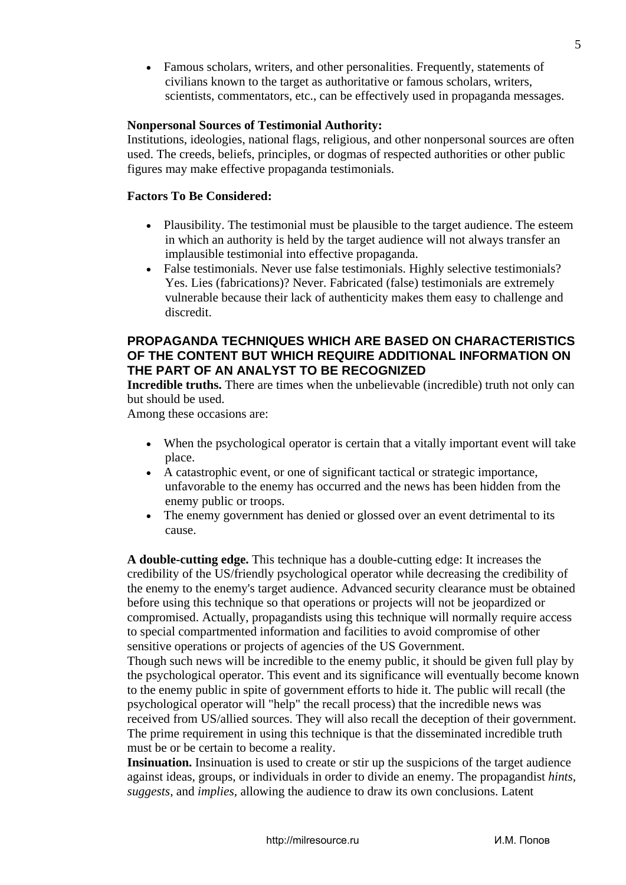• Famous scholars, writers, and other personalities. Frequently, statements of civilians known to the target as authoritative or famous scholars, writers, scientists, commentators, etc., can be effectively used in propaganda messages.

#### **Nonpersonal Sources of Testimonial Authority:**

Institutions, ideologies, national flags, religious, and other nonpersonal sources are often used. The creeds, beliefs, principles, or dogmas of respected authorities or other public figures may make effective propaganda testimonials.

#### **Factors To Be Considered:**

- Plausibility. The testimonial must be plausible to the target audience. The esteem in which an authority is held by the target audience will not always transfer an implausible testimonial into effective propaganda.
- False testimonials. Never use false testimonials. Highly selective testimonials? Yes. Lies (fabrications)? Never. Fabricated (false) testimonials are extremely vulnerable because their lack of authenticity makes them easy to challenge and discredit.

#### **PROPAGANDA TECHNIQUES WHICH ARE BASED ON CHARACTERISTICS OF THE CONTENT BUT WHICH REQUIRE ADDITIONAL INFORMATION ON THE PART OF AN ANALYST TO BE RECOGNIZED**

**Incredible truths.** There are times when the unbelievable (incredible) truth not only can but should be used.

Among these occasions are:

- When the psychological operator is certain that a vitally important event will take place.
- A catastrophic event, or one of significant tactical or strategic importance, unfavorable to the enemy has occurred and the news has been hidden from the enemy public or troops.
- The enemy government has denied or glossed over an event detrimental to its cause.

**A double-cutting edge.** This technique has a double-cutting edge: It increases the credibility of the US/friendly psychological operator while decreasing the credibility of the enemy to the enemy's target audience. Advanced security clearance must be obtained before using this technique so that operations or projects will not be jeopardized or compromised. Actually, propagandists using this technique will normally require access to special compartmented information and facilities to avoid compromise of other sensitive operations or projects of agencies of the US Government.

Though such news will be incredible to the enemy public, it should be given full play by the psychological operator. This event and its significance will eventually become known to the enemy public in spite of government efforts to hide it. The public will recall (the psychological operator will "help" the recall process) that the incredible news was received from US/allied sources. They will also recall the deception of their government. The prime requirement in using this technique is that the disseminated incredible truth must be or be certain to become a reality.

**Insinuation.** Insinuation is used to create or stir up the suspicions of the target audience against ideas, groups, or individuals in order to divide an enemy. The propagandist *hints, suggests,* and *implies,* allowing the audience to draw its own conclusions. Latent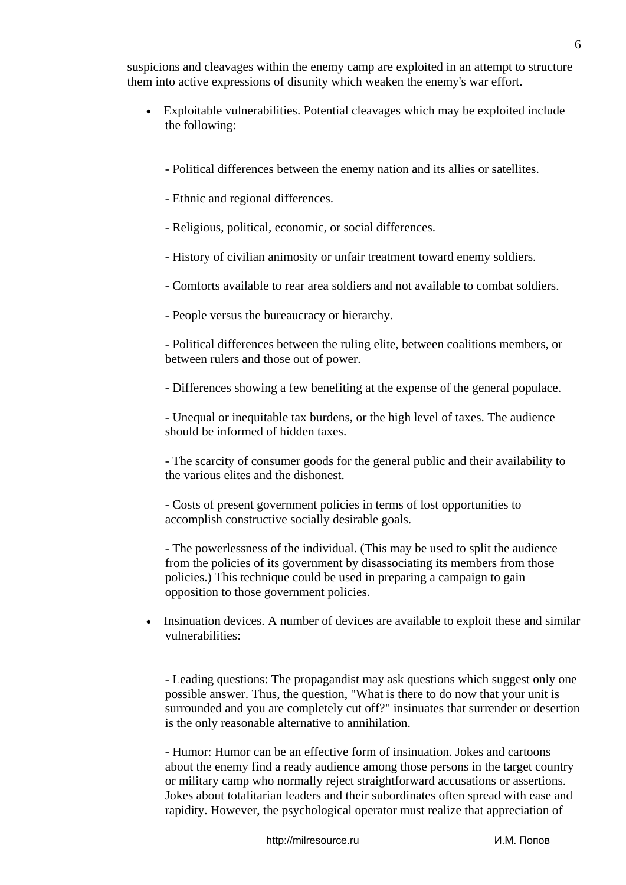suspicions and cleavages within the enemy camp are exploited in an attempt to structure them into active expressions of disunity which weaken the enemy's war effort.

- Exploitable vulnerabilities. Potential cleavages which may be exploited include the following:
	- Political differences between the enemy nation and its allies or satellites.
	- Ethnic and regional differences.
	- Religious, political, economic, or social differences.
	- History of civilian animosity or unfair treatment toward enemy soldiers.
	- Comforts available to rear area soldiers and not available to combat soldiers.
	- People versus the bureaucracy or hierarchy.

- Political differences between the ruling elite, between coalitions members, or between rulers and those out of power.

- Differences showing a few benefiting at the expense of the general populace.

- Unequal or inequitable tax burdens, or the high level of taxes. The audience should be informed of hidden taxes.

- The scarcity of consumer goods for the general public and their availability to the various elites and the dishonest.

- Costs of present government policies in terms of lost opportunities to accomplish constructive socially desirable goals.

- The powerlessness of the individual. (This may be used to split the audience from the policies of its government by disassociating its members from those policies.) This technique could be used in preparing a campaign to gain opposition to those government policies.

• Insinuation devices. A number of devices are available to exploit these and similar vulnerabilities:

- Leading questions: The propagandist may ask questions which suggest only one possible answer. Thus, the question, "What is there to do now that your unit is surrounded and you are completely cut off?" insinuates that surrender or desertion is the only reasonable alternative to annihilation.

- Humor: Humor can be an effective form of insinuation. Jokes and cartoons about the enemy find a ready audience among those persons in the target country or military camp who normally reject straightforward accusations or assertions. Jokes about totalitarian leaders and their subordinates often spread with ease and rapidity. However, the psychological operator must realize that appreciation of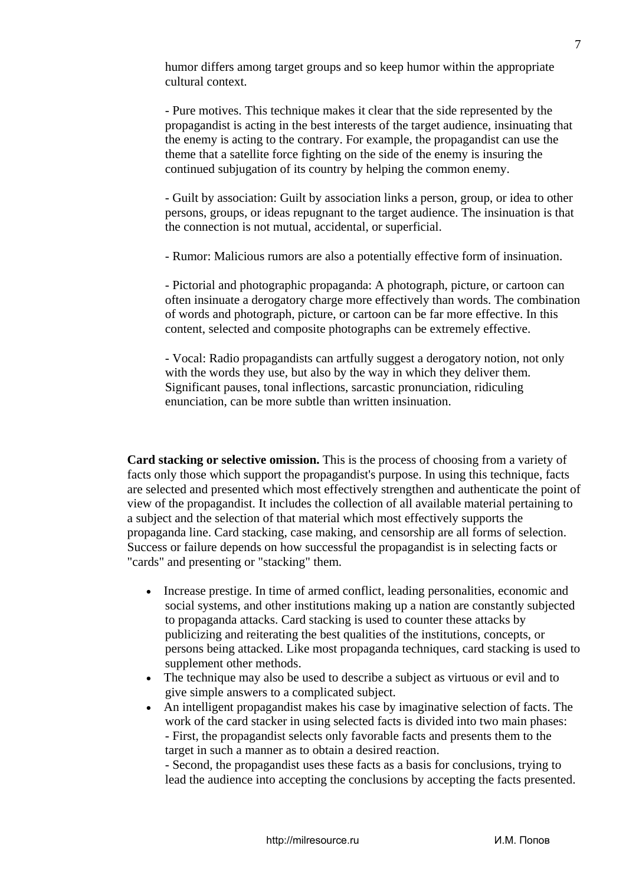humor differs among target groups and so keep humor within the appropriate cultural context.

- Pure motives. This technique makes it clear that the side represented by the propagandist is acting in the best interests of the target audience, insinuating that the enemy is acting to the contrary. For example, the propagandist can use the theme that a satellite force fighting on the side of the enemy is insuring the continued subjugation of its country by helping the common enemy.

- Guilt by association: Guilt by association links a person, group, or idea to other persons, groups, or ideas repugnant to the target audience. The insinuation is that the connection is not mutual, accidental, or superficial.

- Rumor: Malicious rumors are also a potentially effective form of insinuation.

- Pictorial and photographic propaganda: A photograph, picture, or cartoon can often insinuate a derogatory charge more effectively than words. The combination of words and photograph, picture, or cartoon can be far more effective. In this content, selected and composite photographs can be extremely effective.

- Vocal: Radio propagandists can artfully suggest a derogatory notion, not only with the words they use, but also by the way in which they deliver them. Significant pauses, tonal inflections, sarcastic pronunciation, ridiculing enunciation, can be more subtle than written insinuation.

**Card stacking or selective omission.** This is the process of choosing from a variety of facts only those which support the propagandist's purpose. In using this technique, facts are selected and presented which most effectively strengthen and authenticate the point of view of the propagandist. It includes the collection of all available material pertaining to a subject and the selection of that material which most effectively supports the propaganda line. Card stacking, case making, and censorship are all forms of selection. Success or failure depends on how successful the propagandist is in selecting facts or "cards" and presenting or "stacking" them.

- Increase prestige. In time of armed conflict, leading personalities, economic and social systems, and other institutions making up a nation are constantly subjected to propaganda attacks. Card stacking is used to counter these attacks by publicizing and reiterating the best qualities of the institutions, concepts, or persons being attacked. Like most propaganda techniques, card stacking is used to supplement other methods.
- The technique may also be used to describe a subject as virtuous or evil and to give simple answers to a complicated subject.
- An intelligent propagandist makes his case by imaginative selection of facts. The work of the card stacker in using selected facts is divided into two main phases: - First, the propagandist selects only favorable facts and presents them to the target in such a manner as to obtain a desired reaction.

- Second, the propagandist uses these facts as a basis for conclusions, trying to lead the audience into accepting the conclusions by accepting the facts presented.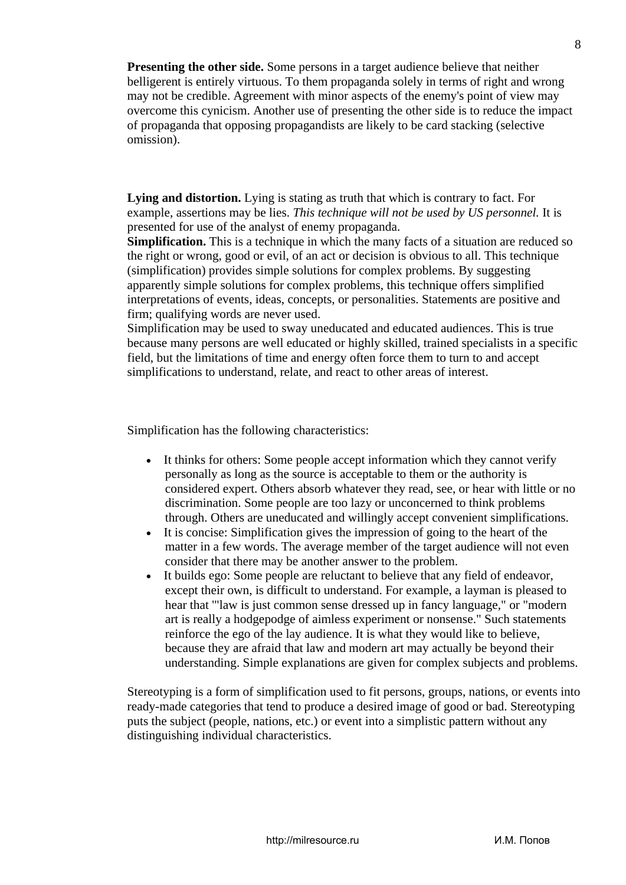**Presenting the other side.** Some persons in a target audience believe that neither belligerent is entirely virtuous. To them propaganda solely in terms of right and wrong may not be credible. Agreement with minor aspects of the enemy's point of view may overcome this cynicism. Another use of presenting the other side is to reduce the impact of propaganda that opposing propagandists are likely to be card stacking (selective omission).

**Lying and distortion.** Lying is stating as truth that which is contrary to fact. For example, assertions may be lies. *This technique will not be used by US personnel.* It is presented for use of the analyst of enemy propaganda.

**Simplification.** This is a technique in which the many facts of a situation are reduced so the right or wrong, good or evil, of an act or decision is obvious to all. This technique (simplification) provides simple solutions for complex problems. By suggesting apparently simple solutions for complex problems, this technique offers simplified interpretations of events, ideas, concepts, or personalities. Statements are positive and firm; qualifying words are never used.

Simplification may be used to sway uneducated and educated audiences. This is true because many persons are well educated or highly skilled, trained specialists in a specific field, but the limitations of time and energy often force them to turn to and accept simplifications to understand, relate, and react to other areas of interest.

Simplification has the following characteristics:

- It thinks for others: Some people accept information which they cannot verify personally as long as the source is acceptable to them or the authority is considered expert. Others absorb whatever they read, see, or hear with little or no discrimination. Some people are too lazy or unconcerned to think problems through. Others are uneducated and willingly accept convenient simplifications.
- It is concise: Simplification gives the impression of going to the heart of the matter in a few words. The average member of the target audience will not even consider that there may be another answer to the problem.
- It builds ego: Some people are reluctant to believe that any field of endeavor, except their own, is difficult to understand. For example, a layman is pleased to hear that '"law is just common sense dressed up in fancy language," or "modern art is really a hodgepodge of aimless experiment or nonsense." Such statements reinforce the ego of the lay audience. It is what they would like to believe, because they are afraid that law and modern art may actually be beyond their understanding. Simple explanations are given for complex subjects and problems.

Stereotyping is a form of simplification used to fit persons, groups, nations, or events into ready-made categories that tend to produce a desired image of good or bad. Stereotyping puts the subject (people, nations, etc.) or event into a simplistic pattern without any distinguishing individual characteristics.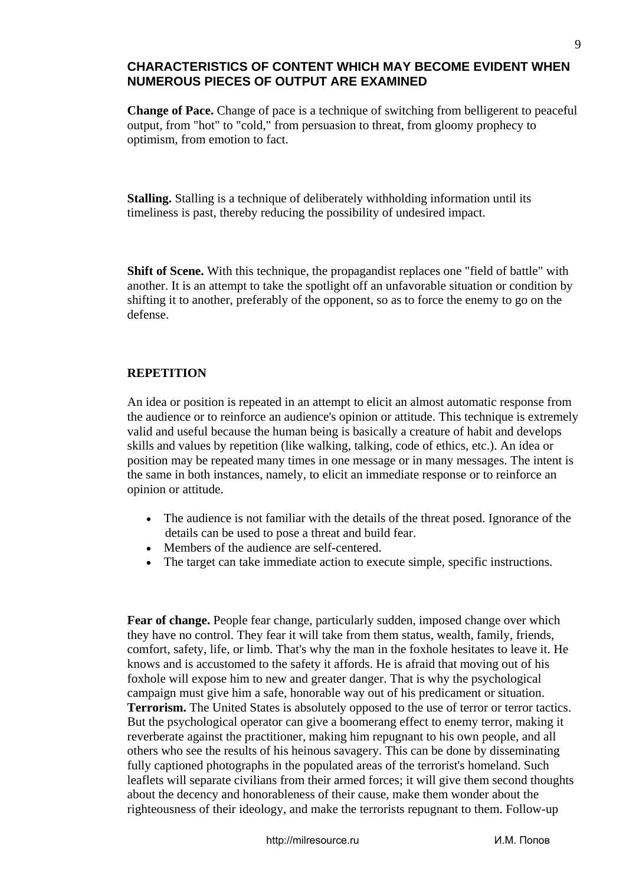#### **CHARACTERISTICS OF CONTENT WHICH MAY BECOME EVIDENT WHEN NUMEROUS PIECES OF OUTPUT ARE EXAMINED**

**Change of Pace.** Change of pace is a technique of switching from belligerent to peaceful output, from "hot" to "cold," from persuasion to threat, from gloomy prophecy to optimism, from emotion to fact.

**Stalling.** Stalling is a technique of deliberately withholding information until its timeliness is past, thereby reducing the possibility of undesired impact.

**Shift of Scene.** With this technique, the propagandist replaces one "field of battle" with another. It is an attempt to take the spotlight off an unfavorable situation or condition by shifting it to another, preferably of the opponent, so as to force the enemy to go on the defense.

#### **REPETITION**

An idea or position is repeated in an attempt to elicit an almost automatic response from the audience or to reinforce an audience's opinion or attitude. This technique is extremely valid and useful because the human being is basically a creature of habit and develops skills and values by repetition (like walking, talking, code of ethics, etc.). An idea or position may be repeated many times in one message or in many messages. The intent is the same in both instances, namely, to elicit an immediate response or to reinforce an opinion or attitude.

- The audience is not familiar with the details of the threat posed. Ignorance of the details can be used to pose a threat and build fear.
- Members of the audience are self-centered.
- The target can take immediate action to execute simple, specific instructions.

**Fear of change.** People fear change, particularly sudden, imposed change over which they have no control. They fear it will take from them status, wealth, family, friends, comfort, safety, life, or limb. That's why the man in the foxhole hesitates to leave it. He knows and is accustomed to the safety it affords. He is afraid that moving out of his foxhole will expose him to new and greater danger. That is why the psychological campaign must give him a safe, honorable way out of his predicament or situation. **Terrorism.** The United States is absolutely opposed to the use of terror or terror tactics. But the psychological operator can give a boomerang effect to enemy terror, making it reverberate against the practitioner, making him repugnant to his own people, and all others who see the results of his heinous savagery. This can be done by disseminating fully captioned photographs in the populated areas of the terrorist's homeland. Such leaflets will separate civilians from their armed forces; it will give them second thoughts about the decency and honorableness of their cause, make them wonder about the righteousness of their ideology, and make the terrorists repugnant to them. Follow-up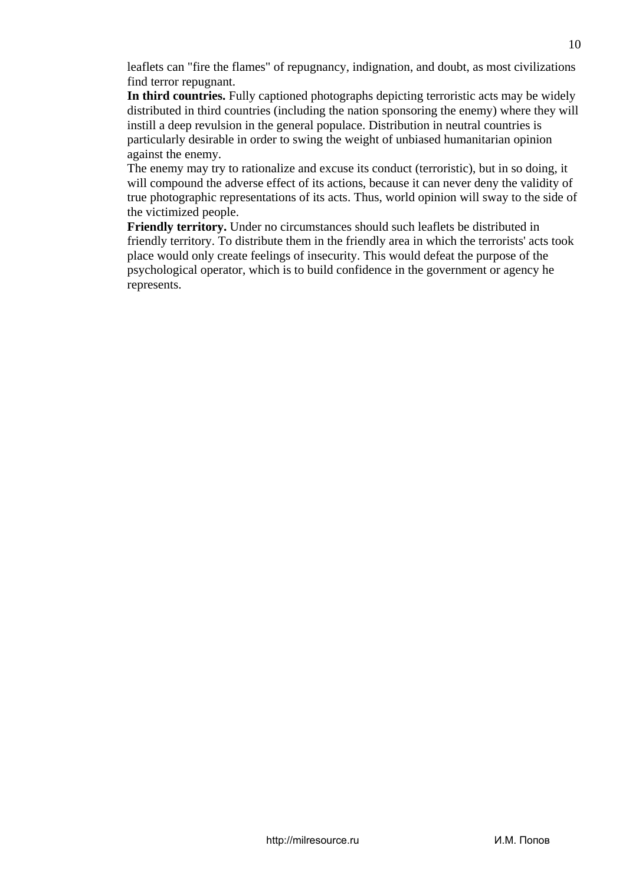leaflets can "fire the flames" of repugnancy, indignation, and doubt, as most civilizations find terror repugnant.

**In third countries.** Fully captioned photographs depicting terroristic acts may be widely distributed in third countries (including the nation sponsoring the enemy) where they will instill a deep revulsion in the general populace. Distribution in neutral countries is particularly desirable in order to swing the weight of unbiased humanitarian opinion against the enemy.

The enemy may try to rationalize and excuse its conduct (terroristic), but in so doing, it will compound the adverse effect of its actions, because it can never deny the validity of true photographic representations of its acts. Thus, world opinion will sway to the side of the victimized people.

**Friendly territory.** Under no circumstances should such leaflets be distributed in friendly territory. To distribute them in the friendly area in which the terrorists' acts took place would only create feelings of insecurity. This would defeat the purpose of the psychological operator, which is to build confidence in the government or agency he represents.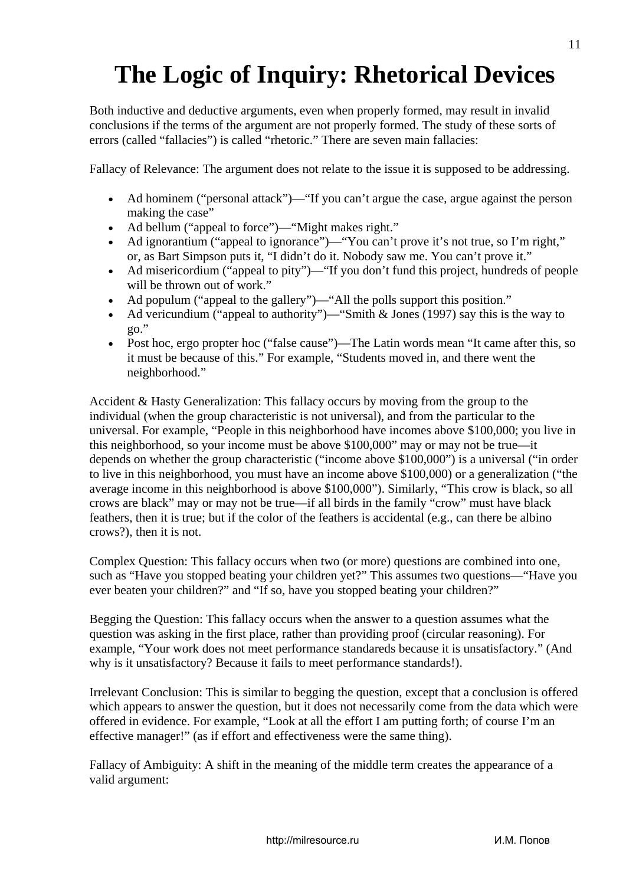# **The Logic of Inquiry: Rhetorical Devices**

Both inductive and deductive arguments, even when properly formed, may result in invalid conclusions if the terms of the argument are not properly formed. The study of these sorts of errors (called "fallacies") is called "rhetoric." There are seven main fallacies:

Fallacy of Relevance: The argument does not relate to the issue it is supposed to be addressing.

- Ad hominem ("personal attack")—"If you can't argue the case, argue against the person making the case"
- Ad bellum ("appeal to force")— "Might makes right."
- Ad ignorantium ("appeal to ignorance")— "You can't prove it's not true, so I'm right," or, as Bart Simpson puts it, "I didn't do it. Nobody saw me. You can't prove it."
- Ad misericordium ("appeal to pity")— "If you don't fund this project, hundreds of people will be thrown out of work."
- Ad populum ("appeal to the gallery")—"All the polls support this position."
- Ad vericundium ("appeal to authority")— "Smith & Jones (1997) say this is the way to  $90.$ "
- Post hoc, ergo propter hoc ("false cause")—The Latin words mean "It came after this, so it must be because of this." For example, "Students moved in, and there went the neighborhood."

Accident & Hasty Generalization: This fallacy occurs by moving from the group to the individual (when the group characteristic is not universal), and from the particular to the universal. For example, "People in this neighborhood have incomes above \$100,000; you live in this neighborhood, so your income must be above \$100,000" may or may not be true—it depends on whether the group characteristic ("income above \$100,000") is a universal ("in order to live in this neighborhood, you must have an income above \$100,000) or a generalization ("the average income in this neighborhood is above \$100,000"). Similarly, "This crow is black, so all crows are black" may or may not be true—if all birds in the family "crow" must have black feathers, then it is true; but if the color of the feathers is accidental (e.g., can there be albino crows?), then it is not.

Complex Question: This fallacy occurs when two (or more) questions are combined into one, such as "Have you stopped beating your children yet?" This assumes two questions—"Have you ever beaten your children?" and "If so, have you stopped beating your children?"

Begging the Question: This fallacy occurs when the answer to a question assumes what the question was asking in the first place, rather than providing proof (circular reasoning). For example, "Your work does not meet performance standareds because it is unsatisfactory." (And why is it unsatisfactory? Because it fails to meet performance standards!).

Irrelevant Conclusion: This is similar to begging the question, except that a conclusion is offered which appears to answer the question, but it does not necessarily come from the data which were offered in evidence. For example, "Look at all the effort I am putting forth; of course I'm an effective manager!" (as if effort and effectiveness were the same thing).

Fallacy of Ambiguity: A shift in the meaning of the middle term creates the appearance of a valid argument: